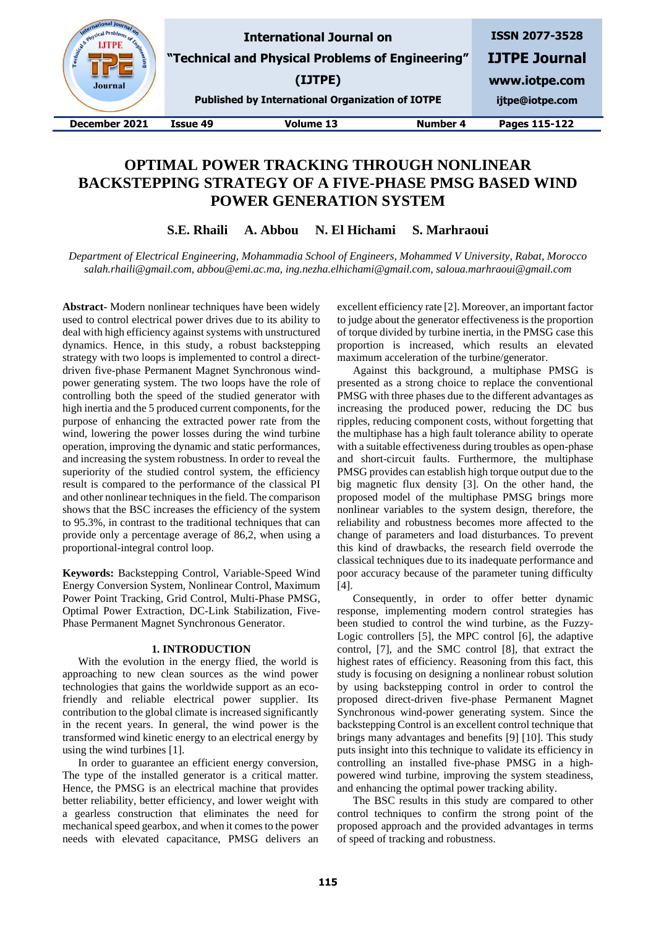| state Physical Pr-<br>Engineer<br><b>Journal</b> |          | <b>International Journal on</b><br>"Technical and Physical Problems of Engineering"<br>(IJTPE)<br><b>Published by International Organization of IOTPE</b> |          | <b>ISSN 2077-3528</b><br><b>IJTPE Journal</b><br>www.iotpe.com<br>ijtpe@iotpe.com |
|--------------------------------------------------|----------|-----------------------------------------------------------------------------------------------------------------------------------------------------------|----------|-----------------------------------------------------------------------------------|
| December 2021                                    | Issue 49 | <b>Volume 13</b>                                                                                                                                          | Number 4 | Pages 115-122                                                                     |

# **OPTIMAL POWER TRACKING THROUGH NONLINEAR BACKSTEPPING STRATEGY OF A FIVE-PHASE PMSG BASED WIND POWER GENERATION SYSTEM**

**S.E. Rhaili A. Abbou N. El Hichami S. Marhraoui**

*Department of Electrical Engineering, Mohammadia School of Engineers, Mohammed V University, Rabat, Morocco salah.rhaili@gmail.com, abbou@emi.ac.ma, ing.nezha.elhichami@gmail.com, saloua.marhraoui@gmail.com*

**Abstract-** Modern nonlinear techniques have been widely used to control electrical power drives due to its ability to deal with high efficiency against systems with unstructured dynamics. Hence, in this study, a robust backstepping strategy with two loops is implemented to control a directdriven five-phase Permanent Magnet Synchronous windpower generating system. The two loops have the role of controlling both the speed of the studied generator with high inertia and the 5 produced current components, for the purpose of enhancing the extracted power rate from the wind, lowering the power losses during the wind turbine operation, improving the dynamic and static performances, and increasing the system robustness. In order to reveal the superiority of the studied control system, the efficiency result is compared to the performance of the classical PI and other nonlinear techniques in the field. The comparison shows that the BSC increases the efficiency of the system to 95.3%, in contrast to the traditional techniques that can provide only a percentage average of 86,2, when using a proportional-integral control loop.

**Keywords:** Backstepping Control, Variable-Speed Wind Energy Conversion System, Nonlinear Control, Maximum Power Point Tracking, Grid Control, Multi-Phase PMSG, Optimal Power Extraction, DC-Link Stabilization, Five-Phase Permanent Magnet Synchronous Generator.

## **1. INTRODUCTION**

With the evolution in the energy flied, the world is approaching to new clean sources as the wind power technologies that gains the worldwide support as an ecofriendly and reliable electrical power supplier. Its contribution to the global climate is increased significantly in the recent years. [In](https://www.powerthesaurus.org/broadly/synonyms) general, the wind power is the transformed wind kinetic energy to an electrical energy by using the wind turbines [1].

In order to guarantee an efficient energy conversion, The type of the installed generator is a critical matter. Hence, the PMSG is an electrical machine that provides better reliability, better efficiency, and lower weight with a gearless construction that eliminates the need for mechanical speed gearbox, and when it comes to the power needs with elevated capacitance, PMSG delivers an excellent efficiency rate [2]. Moreover, an important factor to judge about the generator effectiveness is the proportion of torque divided by turbine inertia, in the PMSG case this proportion is increased, which results an elevated maximum acceleration of the turbine/generator.

Against this background, a multiphase PMSG is presented as a strong choice to replace the conventional PMSG with three phases due to the different advantages as increasing the produced power, reducing the DC bus ripples, reducing component costs, without forgetting that the multiphase has a high fault tolerance ability to operate with a suitable effectiveness during troubles as open-phase and short-circuit faults. Furthermore, the multiphase PMSG provides can establish high torque output due to the big magnetic flux density [3]. On the other hand, the proposed model of the multiphase PMSG brings more nonlinear variables to the system design, therefore, the reliability and robustness becomes more affected to the change of parameters and load disturbances. To prevent this kind of drawbacks, the research field overrode the classical techniques due to its inadequate performance and poor accuracy because of the parameter tuning difficulty [4].

Consequently, in order to offer better dynamic response, implementing modern control strategies has been studied to control the wind turbine, as the Fuzzy-Logic controllers [5], the MPC control [6], the adaptive control, [7], and the SMC control [8], that extract the highest rates of efficiency. Reasoning from this fact, this study is focusing on designing a nonlinear robust solution by using backstepping control in order to control the proposed direct-driven five-phase Permanent Magnet Synchronous wind-power generating system. Since the backstepping Control is an excellent control technique that brings many advantages and benefits [9] [10]. This study puts insight into this technique to validate its efficiency in controlling an installed five-phase PMSG in a highpowered wind turbine, improving the system steadiness, and enhancing the optimal power tracking ability.

The BSC results in this study are compared to other control techniques to confirm the strong point of the proposed approach and the provided advantages in terms of speed of tracking and robustness.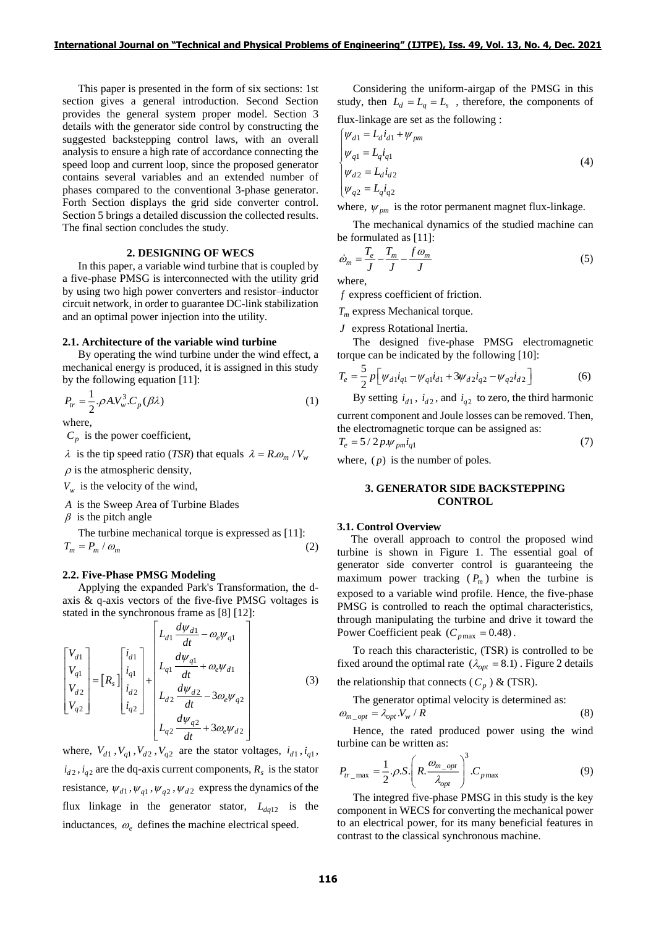This paper is presented in the form of six sections: 1st section gives a general introduction. Second Section provides the general system proper model. Section 3 details with the generator side control by constructing the suggested backstepping control laws, with an overall analysis to ensure a high rate of accordance connecting the speed loop and current loop, since the proposed generator contains several variables and an extended number of phases compared to the conventional 3-phase generator. Forth Section displays the grid side converter control. Section 5 brings a detailed discussion the collected results. The final section concludes the study.

## **2. DESIGNING OF WECS**

In this paper, a variable wind turbine that is coupled by a five-phase PMSG is interconnected with the utility grid by using two high power converters and resistor–inductor circuit network, in order to guarantee DC-link stabilization and an optimal power injection into the utility.

#### **2.1. Architecture of the variable wind turbine**

By operating the wind turbine under the wind effect, a mechanical energy is produced, it is assigned in this study by the following equation [11]:

$$
P_{tr} = \frac{1}{2} \cdot \rho A V_w^3 \cdot C_p(\beta \lambda)
$$
\nwhere,

\n
$$
(1)
$$

 $C_p$  is the power coefficient,

 $\lambda$  is the tip speed ratio (*TSR*) that equals  $\lambda = R \omega_m / V_w$ 

 $\rho$  is the atmospheric density,

 $V_w$  is the velocity of the wind,

*A* is the Sweep Area of Turbine Blades

 $\beta$  is the pitch angle

The turbine mechanical torque is expressed as [11]:  

$$
T_m = P_m / \omega_m
$$
 (2)

# **2.2. Five-Phase PMSG Modeling**

Applying the expanded Park's Transformation, the daxis & q-axis vectors of the five-five PMSG voltages is

stated in the synchronous frame as [8] [12]:  
\n
$$
\begin{bmatrix}\nV_{d1} \\
V_{q1} \\
V_{q2}\n\end{bmatrix} = [R_s] \begin{bmatrix}\ni_{d1} \\
i_{d1} \\
i_{d2}\n\end{bmatrix} + \begin{bmatrix}\nL_{d1} \frac{d\psi_{d1}}{dt} - \omega_e \psi_{q1} \\
L_{q1} \frac{d\psi_{q1}}{dt} + \omega_e \psi_{d1} \\
L_{d2} \frac{d\psi_{d2}}{dt} - 3\omega_e \psi_{q2} \\
L_{q2} \frac{d\psi_{q2}}{dt} + 3\omega_e \psi_{d2}\n\end{bmatrix}
$$
\n(3)

where,  $V_{d1}$ ,  $V_{q1}$ ,  $V_{d2}$ ,  $V_{q2}$  are the stator voltages,  $i_{d1}$ ,  $i_{q1}$ ,  $i_{d2}$ ,  $i_{q2}$  are the dq-axis current components,  $R_s$  is the stator resistance,  $\psi_{d1}$ ,  $\psi_{q1}$ ,  $\psi_{q2}$ ,  $\psi_{d2}$  express the dynamics of the flux linkage in the generator stator,  $L_{dq12}$  is the inductances,  $\omega_e$  defines the machine electrical speed.

Considering the uniform-airgap of the PMSG in this study, then  $L_d = L_q = L_s$ , therefore, the components of flux-linkage are set as the following :

$$
\begin{cases}\n\psi_{d1} = L_d i_{d1} + \psi_{pm} \\
\psi_{q1} = L_q i_{q1}\n\end{cases}
$$
\n(4)  
\n
$$
\begin{cases}\n\psi_{d2} = L_d i_{d2} \\
\psi_{q2} = L_q i_{q2}\n\end{cases}
$$
\n(4)

where,  $\psi_{pm}$  is the rotor permanent magnet flux-linkage.

The mechanical dynamics of the studied machine can be formulated as [11]:

$$
\dot{\omega}_m = \frac{T_e}{J} - \frac{T_m}{J} - \frac{f \omega_m}{J} \tag{5}
$$

where,

*f* express coefficient of friction.

*T<sup>m</sup>* express Mechanical torque.

*J* express Rotational Inertia.

The designed five-phase PMSG electromagnetic torque can be indicated by the following [10]:

$$
T_e = \frac{5}{2} p \left[ \psi_{d1} i_{q1} - \psi_{q1} i_{d1} + 3 \psi_{d2} i_{q2} - \psi_{q2} i_{d2} \right]
$$
 (6)

By setting  $i_{d1}$ ,  $i_{d2}$ , and  $i_{q2}$  to zero, the third harmonic current component and Joule losses can be removed. Then, the electromagnetic torque can be assigned as:

$$
T_e = 5/2p \mathcal{W}_{pm} i_{q1} \tag{7}
$$

where,  $(p)$  is the number of poles.

# **3. GENERATOR SIDE BACKSTEPPING CONTROL**

#### **3.1. Control Overview**

 The overall approach to control the proposed wind turbine is shown in Figure 1. The essential goal of generator side converter control is guaranteeing the maximum power tracking  $(P_m)$  when the turbine is exposed to a variable wind profile. Hence, the five-phase PMSG is controlled to reach the optimal characteristics, through manipulating the turbine and drive it toward the Power Coefficient peak  $(C_{p \max} = 0.48)$ .

To reach this characteristic, (TSR) is controlled to be fixed around the optimal rate  $(\lambda_{opt} = 8.1)$ . Figure 2 details the relationship that connects ( $C_p$ ) & (TSR).

The generator optimal velocity is determined as:  $\omega_{m\_opt} = \lambda_{opt} V_w / R$ (8)

Hence, the rated produced power using the wind turbine can be written as:

$$
P_{tr_{\text{max}}} = \frac{1}{2} \cdot \rho \cdot S \cdot \left(R \cdot \frac{\omega_{m_{\text{opt}}}}{\lambda_{opt}}\right)^3 \cdot C_{p \text{max}} \tag{9}
$$

The integred five-phase PMSG in this study is the key component in WECS for converting the mechanical power to an electrical power, for its many beneficial features in contrast to the classical synchronous machine.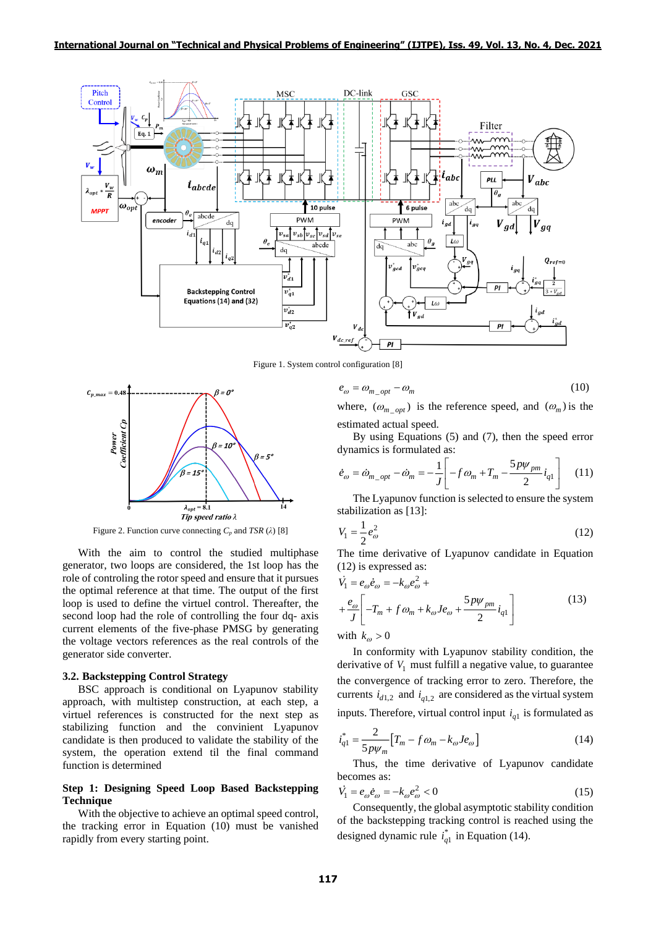

Figure 1. System control configuration [8]



Figure 2. Function curve connecting  $C_p$  and *TSR* ( $\lambda$ ) [8]

With the aim to control the studied multiphase generator, two loops are considered, the 1st loop has the role of controling the rotor speed and ensure that it pursues the optimal reference at that time. The output of the first loop is used to define the virtuel control. Thereafter, the second loop had the role of controlling the four dq- axis current elements of the five-phase PMSG by generating the voltage vectors references as the real controls of the generator side converter.

#### **3.2. Backstepping Control Strategy**

BSC approach is conditional on Lyapunov stability approach, with multistep construction, at each step, a virtuel references is constructed for the next step as stabilizing function and the convinient Lyapunov candidate is then produced to validate the stability of the system, the operation extend til the final command function is determined

# **Step 1: Designing Speed Loop Based Backstepping Technique**

With the objective to achieve an optimal speed control, the tracking error in Equation (10) must be vanished rapidly from every starting point.

$$
e_{\omega} = \omega_{m\_opt} - \omega_m \tag{10}
$$

where,  $(\omega_{m\_opt})$  is the reference speed, and  $(\omega_m)$  is the estimated actual speed.

By using Equations (5) and (7), then the speed error dynamics is formulated as:

$$
\dot{e}_{\omega} = \dot{\omega}_{m\_opt} - \dot{\omega}_m = -\frac{1}{J} \left[ -f \omega_m + T_m - \frac{5p\psi_{pm}}{2} i_{q1} \right] \quad (11)
$$

The Lyapunov function is selected to ensure the system stabilization as [13]:

$$
V_1 = \frac{1}{2} e_{\omega}^2
$$
 (12)

The time derivative of Lyapunov candidate in Equation (12) is expressed as:

$$
\dot{V}_1 = e_{\omega} \dot{e}_{\omega} = -k_{\omega} e_{\omega}^2 + \n+ \frac{e_{\omega}}{J} \left[ -T_m + f \omega_m + k_{\omega} J e_{\omega} + \frac{5 p \psi_{pm}}{2} i_{q1} \right] \nwith k_{\omega} > 0
$$
\n(13)

In conformity with Lyapunov stability condition, the derivative of  $V_1$  must fulfill a negative value, to guarantee the convergence of tracking error to zero. Therefore, the currents  $i_{d1,2}$  and  $i_{q1,2}$  are considered as the virtual system inputs. Therefore, virtual control input  $i_{q1}$  is formulated as

$$
i_{q1}^{*} = \frac{2}{5p\psi_{m}} \Big[ T_{m} - f \omega_{m} - k_{\omega} J e_{\omega} \Big]
$$
 (14)

Thus, the time derivative of Lyapunov candidate becomes as:

$$
\dot{V}_1 = e_{\omega} \dot{e}_{\omega} = -k_{\omega} e_{\omega}^2 < 0 \tag{15}
$$

Consequently, the global asymptotic stability condition of the backstepping tracking control is reached using the designed dynamic rule  $i_{q1}^*$  in Equation (14).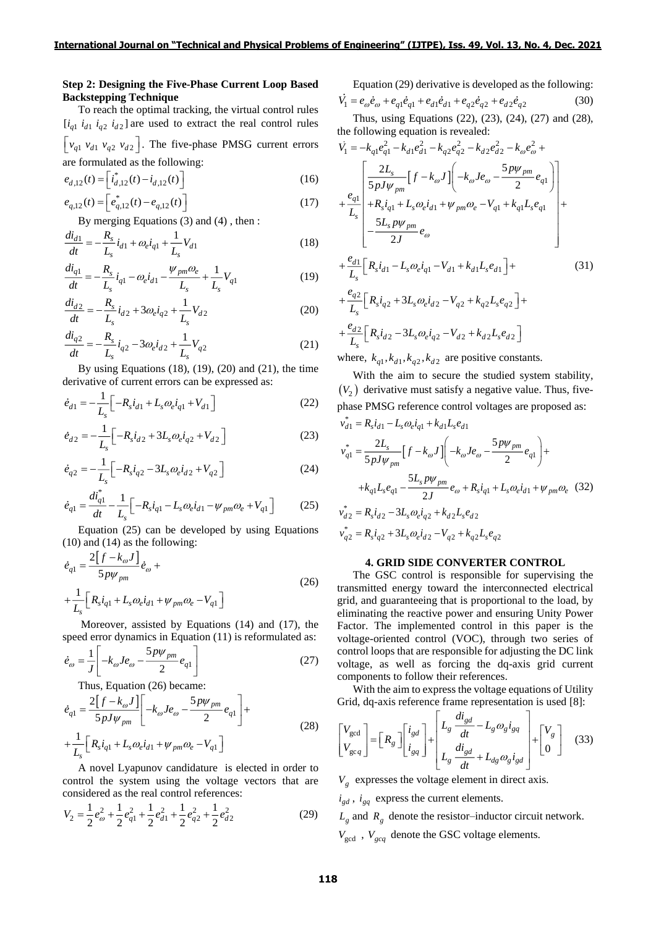## **Step 2: Designing the Five-Phase Current Loop Based Backstepping Technique**

To reach the optimal tracking, the virtual control rules  $[i_{q1} i_{d1} i_{q2} i_{d2}]$  are used to extract the real control rules  $\left[ v_{q1} v_{d1} v_{q2} v_{d2} \right]$ . The five-phase PMSG current errors are formulated as the following:

$$
e_{d,12}(t) = \left[\ddot{i}_{d,12}^*(t) - \dot{i}_{d,12}(t)\right]
$$
 (16)

$$
e_{q,12}(t) = \left[e_{q,12}^*(t) - e_{q,12}(t)\right]
$$
\n(17)

By merging Equations (3) and (4) , then :

$$
\frac{di_{d1}}{dt} = -\frac{R_s}{L_s}i_{d1} + \omega_e i_{q1} + \frac{1}{L_s}V_{d1}
$$
\n(18)

$$
\frac{di_{q1}}{dt} = -\frac{R_s}{L_s}i_{q1} - \omega_e i_{d1} - \frac{\psi_{pm}\omega_e}{L_s} + \frac{1}{L_s}V_{q1}
$$
(19)

$$
\frac{di_{d2}}{dt} = -\frac{R_s}{L_s}i_{d2} + 3\omega_e i_{q2} + \frac{1}{L_s}V_{d2}
$$
\n(20)

$$
\frac{di_{q2}}{dt} = -\frac{R_s}{L_s}i_{q2} - 3\omega_e i_{d2} + \frac{1}{L_s}V_{q2}
$$
\n(21)

By using Equations  $(18)$ ,  $(19)$ ,  $(20)$  and  $(21)$ , the time derivative of current errors can be expressed as:

$$
\dot{e}_{d1} = -\frac{1}{L_s} \left[ -R_s i_{d1} + L_s \omega_e i_{q1} + V_{d1} \right]
$$
 (22)

$$
\dot{e}_{d2} = -\frac{1}{L_s} \Big[ -R_s \dot{i}_{d2} + 3L_s \omega_e \dot{i}_{q2} + V_{d2} \Big] \tag{23}
$$

$$
\dot{e}_{q2} = -\frac{1}{L_s} \Big[ -R_s \dot{t}_{q2} - 3L_s \omega_e \dot{t}_{d2} + V_{q2} \Big] \tag{24}
$$

$$
\dot{e}_{q1} = \frac{di_{q1}^*}{dt} - \frac{1}{L_s} \Big[ -R_s i_{q1} - L_s \omega_e i_{d1} - \psi_{pm} \omega_e + V_{q1} \Big] \tag{25}
$$

Equation (25) can be developed by using Equations (10) and (14) as the following:

$$
\dot{e}_{q1} = \frac{2[f - k_{\omega}J]}{5p\psi_{pm}} \dot{e}_{\omega} + \n+ \frac{1}{L_s} \Big[ R_s i_{q1} + L_s \omega_e i_{d1} + \psi_{pm} \omega_e - V_{q1} \Big]
$$
\n(26)

Moreover, assisted by Equations (14) and (17), the speed error dynamics in Equation (11) is reformulated as:

$$
\dot{e}_{\omega} = \frac{1}{J} \left[ -k_{\omega} J e_{\omega} - \frac{5p\psi_{pm}}{2} e_{q1} \right]
$$
 (27)

Thus, Equation (26) became:

$$
\dot{e}_{q1} = \frac{2[f - k_{\omega}J]}{5pJ\psi_{pm}} \left[ -k_{\omega}Je_{\omega} - \frac{5p\psi_{pm}}{2}e_{q1} \right] + \n+ \frac{1}{L_{s}} \left[ R_{s}i_{q1} + L_{s}\omega_{e}i_{d1} + \psi_{pm}\omega_{e} - V_{q1} \right]
$$
\n(28)

A novel Lyapunov candidature is elected in order to control the system using the voltage vectors that are considered as the real control references:

$$
V_2 = \frac{1}{2}e_{\omega}^2 + \frac{1}{2}e_{q1}^2 + \frac{1}{2}e_{d1}^2 + \frac{1}{2}e_{q2}^2 + \frac{1}{2}e_{d2}^2
$$
 (29)

Equation (29) derivative is developed as the following:

$$
\dot{V}_1 = e_{\omega}\dot{e}_{\omega} + e_{q1}\dot{e}_{q1} + e_{d1}\dot{e}_{d1} + e_{q2}\dot{e}_{q2} + e_{d2}\dot{e}_{q2}
$$
(30)

Thus, using Equations (22), (23), (24), (27) and (28), the following equation is revealed:

$$
\dot{V}_{1} = -k_{q1}e_{q1}^{2} - k_{d1}e_{d1}^{2} - k_{q2}e_{q2}^{2} - k_{d2}e_{d2}^{2} - k_{\omega}e_{\omega}^{2} +
$$
\n
$$
+ \frac{e_{q1}}{L_{s}} \left[ \frac{2L_{s}}{5pJ\psi_{pm}} \left[ f - k_{\omega}J \right] \left( -k_{\omega}Je_{\omega} - \frac{5p\psi_{pm}}{2}e_{q1} \right) \right]
$$
\n
$$
+ \frac{e_{q1}}{L_{s}} \left[ +R_{s}i_{q1} + L_{s}\omega_{e}i_{d1} + \psi_{pm}\omega_{e} - V_{q1} + k_{q1}L_{s}e_{q1} \right]
$$
\n
$$
+ \frac{5L_{s}p\psi_{pm}}{2J}e_{\omega}
$$
\n
$$
+ \frac{e_{d1}}{L_{s}} \left[ R_{s}i_{d1} - L_{s}\omega_{e}i_{q1} - V_{d1} + k_{d1}L_{s}e_{d1} \right] +
$$
\n
$$
+ \frac{e_{q2}}{L_{s}} \left[ R_{s}i_{q2} + 3L_{s}\omega_{e}i_{d2} - V_{q2} + k_{q2}L_{s}e_{q2} \right] +
$$
\n
$$
+ \frac{e_{d2}}{L_{s}} \left[ R_{s}i_{d2} - 3L_{s}\omega_{e}i_{q2} - V_{d2} + k_{d2}L_{s}e_{d2} \right]
$$
\n(31)

where,  $k_{q1}$ ,  $k_{d1}$ ,  $k_{q2}$ ,  $k_{d2}$  are positive constants.

With the aim to secure the studied system stability,  $(V_2)$  derivative must satisfy a negative value. Thus, fivephase PMSG reference control voltages are proposed as: \*

$$
v_{d1} = R_s i_{d1} - L_s \omega_e i_{q1} + k_{d1} L_s e_{d1}
$$
  
\n
$$
v_{q1}^* = \frac{2L_s}{5pJ\psi_{pm}} \Big[ f - k_\omega J \Big] \Big( -k_\omega J e_\omega - \frac{5p\psi_{pm}}{2} e_{q1} \Big) +
$$
  
\n
$$
+ k_{q1} L_s e_{q1} - \frac{5L_s p\psi_{pm}}{2J} e_\omega + R_s i_{q1} + L_s \omega_e i_{d1} + \psi_{pm} \omega_e \quad (32)
$$
  
\n
$$
v_{d2}^* = R_s i_{d2} - 3L_s \omega_e i_{q2} + k_{d2} L_s e_{d2}
$$
  
\n
$$
v_{q2}^* = R_s i_{q2} + 3L_s \omega_e i_{d2} - V_{q2} + k_{q2} L_s e_{q2}
$$

### **4. GRID SIDE CONVERTER CONTROL**

The GSC control is responsible for supervising the transmitted energy toward the interconnected electrical grid, and guaranteeing that is proportional to the load, by eliminating the reactive power and ensuring Unity Power Factor. The implemented control in this paper is the voltage-oriented control (VOC), through two series of control loops that are responsible for adjusting the DC link voltage, as well as forcing the dq-axis grid current components to follow their references.

With the aim to express the voltage equations of Utility Grid, dq-axis reference frame representation is used [8]:

$$
\begin{bmatrix} V_{\text{gcd}} \\ V_{\text{geq}q} \end{bmatrix} = \begin{bmatrix} R_g \end{bmatrix} \begin{bmatrix} i_{gd} \\ i_{gq} \end{bmatrix} + \begin{bmatrix} L_g \frac{di_{gd}}{dt} - L_g \omega_g i_{gq} \\ L_g \frac{di_{gd}}{dt} + L_{dg} \omega_g i_{gd} \end{bmatrix} + \begin{bmatrix} V_g \\ 0 \end{bmatrix}
$$
(33)

*Vg* expresses the voltage element in direct axis.

 $i_{gd}$ ,  $i_{gq}$  express the current elements.

 $L_g$  and  $R_g$  denote the resistor–inductor circuit network.

 $V_{\text{gcd}}$ ,  $V_{\text{geq}}$  denote the GSC voltage elements.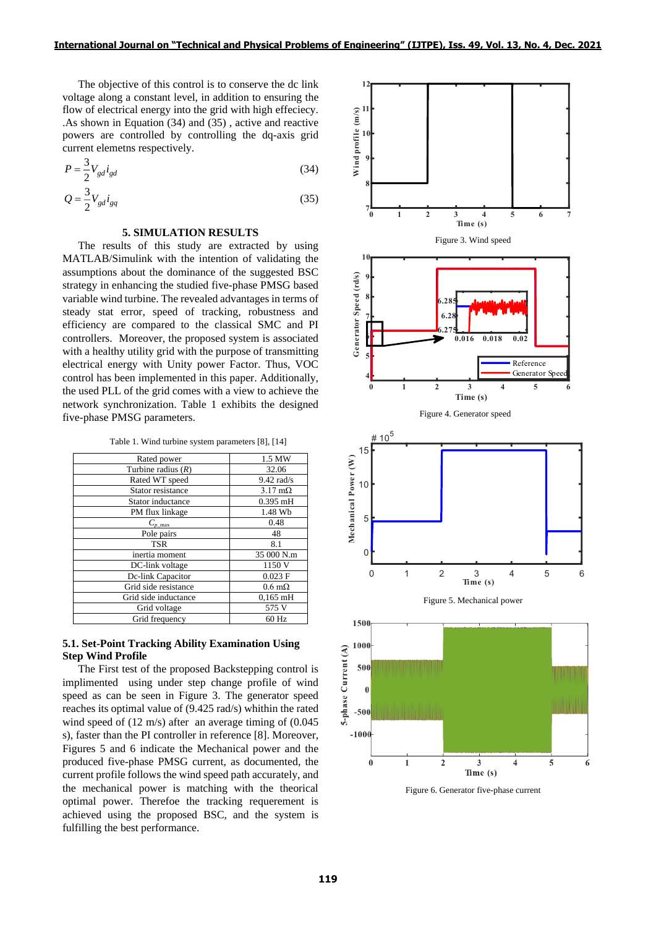The objective of this control is to conserve the dc link voltage along a constant level, in addition to ensuring the flow of electrical energy into the grid with high effeciecy. .As shown in Equation (34) and (35) , active and reactive powers are controlled by controlling the dq-axis grid current elemetns respectively.

$$
P = \frac{3}{2} V_{gd} i_{gd} \tag{34}
$$

$$
Q = \frac{3}{2} V_{gd} i_{gq} \tag{35}
$$

# **5. SIMULATION RESULTS**

The results of this study are extracted by using MATLAB/Simulink with the intention of validating the assumptions about the dominance of the suggested BSC strategy in enhancing the studied five-phase PMSG based variable wind turbine. The revealed advantages in terms of steady stat error, speed of tracking, robustness and efficiency are compared to the classical SMC and PI controllers. Moreover, the proposed system is associated with a healthy utility grid with the purpose of transmitting electrical energy with Unity power Factor. Thus, VOC control has been implemented in this paper. Additionally, the used PLL of the grid comes with a view to achieve the network synchronization. Table 1 exhibits the designed five-phase PMSG parameters.

Table 1. Wind turbine system parameters [8], [14]

| Rated power          | 1.5 MW                 |  |
|----------------------|------------------------|--|
| Turbine radius $(R)$ | 32.06                  |  |
| Rated WT speed       | $9.42$ rad/s           |  |
| Stator resistance    | $3.17 \text{ m}\Omega$ |  |
| Stator inductance    | $0.395$ mH             |  |
| PM flux linkage      | 1.48 Wb                |  |
| $C_{p \max}$         | 0.48                   |  |
| Pole pairs           | 48                     |  |
| <b>TSR</b>           | 8.1                    |  |
| inertia moment       | 35 000 N.m             |  |
| DC-link voltage      | 1150 V                 |  |
| Dc-link Capacitor    | $0.023$ F              |  |
| Grid side resistance | $0.6 \text{ m}\Omega$  |  |
| Grid side inductance | $0,165$ mH             |  |
| Grid voltage         | 575 V                  |  |
| Grid frequency       | 60 Hz                  |  |

# **5.1. Set-Point Tracking Ability Examination Using Step Wind Profile**

The First test of the proposed Backstepping control is implimented using under step change profile of wind speed as can be seen in Figure 3. The generator speed reaches its optimal value of (9.425 rad/s) whithin the rated wind speed of (12 m/s) after an average timing of (0.045) s), faster than the PI controller in reference [8]. Moreover, Figures 5 and 6 indicate the Mechanical power and the produced five-phase PMSG current, as documented, the current profile follows the wind speed path accurately, and the mechanical power is matching with the theorical optimal power. Therefoe the tracking requerement is achieved using the proposed BSC, and the system is fulfilling the best performance.



Figure 6. Generator five-phase current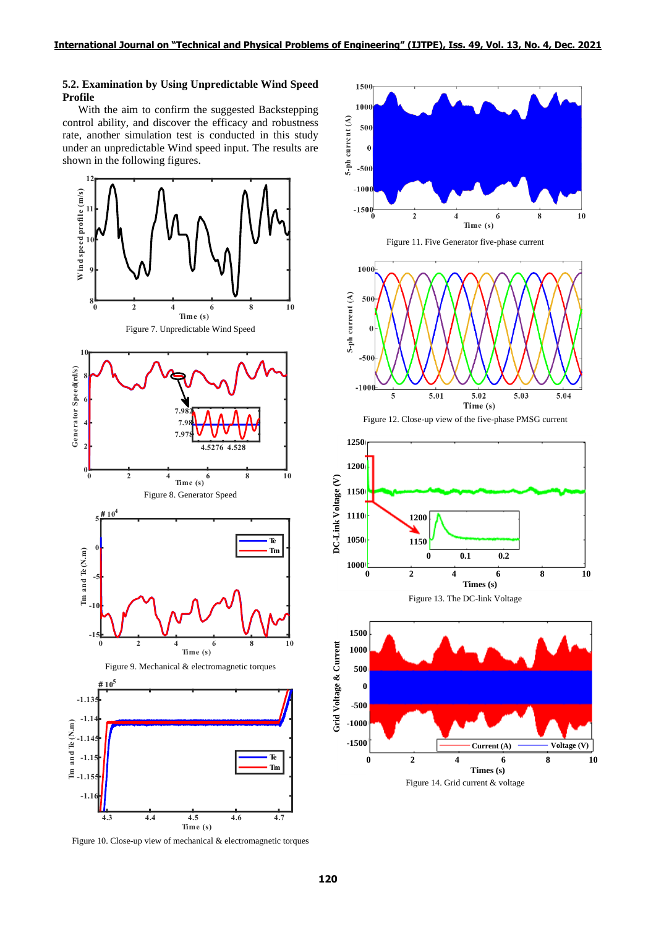## **5.2. Examination by Using Unpredictable Wind Speed Profile**

With the aim to confirm the suggested Backstepping control ability, and discover the efficacy and robustness rate, another simulation test is conducted in this study under an unpredictable Wind speed input. The results are shown in the following figures.



Figure 10. Close-up view of mechanical & electromagnetic torques











Figure 13. The DC-link Voltage

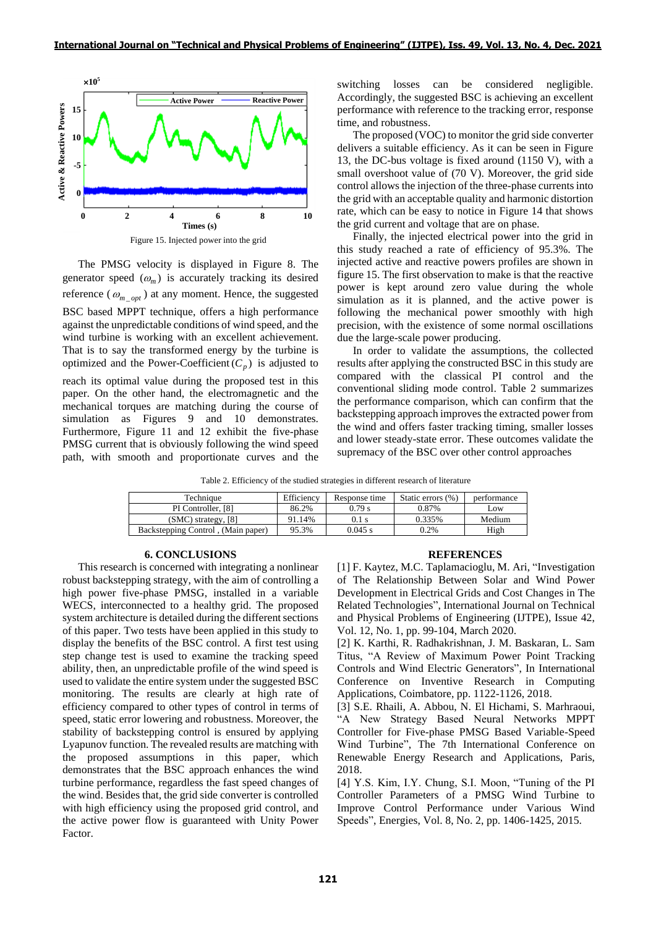

The PMSG velocity is displayed in Figure 8. The generator speed  $(\omega_m)$  is accurately tracking its desired reference ( $\omega_{m\_opt}$ ) at any moment. Hence, the suggested BSC based MPPT technique, offers a high performance against the unpredictable conditions of wind speed, and the wind turbine is working with an excellent achievement. That is to say the transformed energy by the turbine is optimized and the Power-Coefficient  $(C_p)$  is adjusted to reach its optimal value during the proposed test in this paper. On the other hand, the electromagnetic and the mechanical torques are matching during the course of simulation as Figures 9 and 10 demonstrates. Furthermore, Figure 11 and 12 exhibit the five-phase PMSG current that is obviously following the wind speed

switching losses can be considered negligible. Accordingly, the suggested BSC is achieving an excellent performance with reference to the tracking error, response time, and robustness.

The proposed (VOC) to monitor the grid side converter delivers a suitable efficiency. As it can be seen in Figure 13, the DC-bus voltage is fixed around (1150 V), with a small overshoot value of (70 V). Moreover, the grid side control allows the injection of the three-phase currents into the grid with an acceptable quality and harmonic distortion rate, which can be easy to notice in Figure 14 that shows the grid current and voltage that are on phase.

Finally, the injected electrical power into the grid in this study reached a rate of efficiency of 95.3%. The injected active and reactive powers profiles are shown in figure 15. The first observation to make is that the reactive power is kept around zero value during the whole simulation as it is planned, and the active power is following the mechanical power smoothly with high precision, with the existence of some normal oscillations due the large-scale power producing.

In order to validate the assumptions, the collected results after applying the constructed BSC in this study are compared with the classical PI control and the conventional sliding mode control. Table 2 summarizes the performance comparison, which can confirm that the backstepping approach improves the extracted power from the wind and offers faster tracking timing, smaller losses and lower steady-state error. These outcomes validate the supremacy of the BSC over other control approaches

Table 2. Efficiency of the studied strategies in different research of literature

| Technique                                       | Efficiency | Response time | Static errors (%) | performance |
|-------------------------------------------------|------------|---------------|-------------------|-------------|
| PI Controller, [8]                              | 86.2%      | 0.79 s        | 0.87%             | Low         |
| $(SMC)$ strategy, $[8]$                         | 91.14%     | $0.1$ s       | 0.335%            | Medium      |
| (Main paper) Backstepping Control, (Main paper) | 95.3%      | $0.045$ s     | 0.2%              | High        |

### **6. CONCLUSIONS**

path, with smooth and proportionate curves and the

This research is concerned with integrating a nonlinear robust backstepping strategy, with the aim of controlling a high power five-phase PMSG, installed in a variable WECS, interconnected to a healthy grid. The proposed system architecture is detailed during the different sections of this paper. Two tests have been applied in this study to display the benefits of the BSC control. A first test using step change test is used to examine the tracking speed ability, then, an unpredictable profile of the wind speed is used to validate the entire system under the suggested BSC monitoring. The results are clearly at high rate of efficiency compared to other types of control in terms of speed, static error lowering and robustness. Moreover, the stability of backstepping control is ensured by applying Lyapunov function. The revealed results are matching with the proposed assumptions in this paper, which demonstrates that the BSC approach enhances the wind turbine performance, regardless the fast speed changes of the wind. Besides that, the grid side converter is controlled with high efficiency using the proposed grid control, and the active power flow is guaranteed with Unity Power Factor.

#### **REFERENCES**

[1] F. Kaytez, M.C. Taplamacioglu, M. Ari, "Investigation of The Relationship Between Solar and Wind Power Development in Electrical Grids and Cost Changes in The Related Technologies", International Journal on Technical and Physical Problems of Engineering (IJTPE), Issue 42, Vol. 12, No. 1, pp. 99-104, March 2020.

[2] K. Karthi, R. Radhakrishnan, J. M. Baskaran, L. Sam Titus, "A Review of Maximum Power Point Tracking Controls and Wind Electric Generators", In International Conference on Inventive Research in Computing Applications, Coimbatore, pp. 1122-1126, 2018.

[3] S.E. Rhaili, A. Abbou, N. El Hichami, S. Marhraoui, "A New Strategy Based Neural Networks MPPT Controller for Five-phase PMSG Based Variable-Speed Wind Turbine". The 7th International Conference on Renewable Energy Research and Applications, Paris, 2018.

[4] Y.S. Kim, I.Y. Chung, S.I. Moon, "Tuning of the PI Controller Parameters of a PMSG Wind Turbine to Improve Control Performance under Various Wind Speeds", Energies, Vol. 8, No. 2, pp. 1406-1425, 2015.